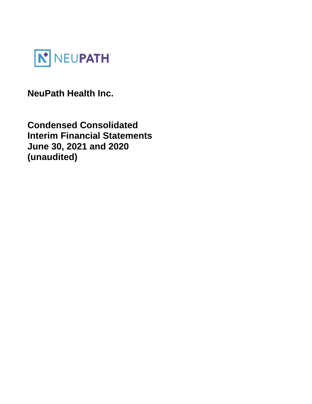

**NeuPath Health Inc.** 

**Condensed Consolidated Interim Financial Statements June 30, 2021 and 2020 (unaudited)**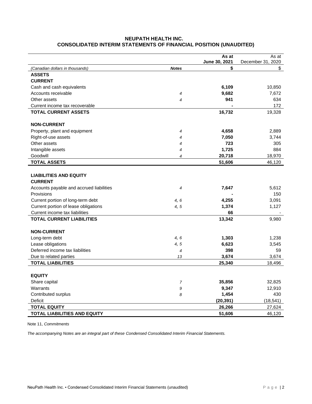# **NEUPATH HEALTH INC. CONSOLIDATED INTERIM STATEMENTS OF FINANCIAL POSITION (UNAUDITED)**

|                                                               |                | As at         | As at             |
|---------------------------------------------------------------|----------------|---------------|-------------------|
|                                                               |                | June 30, 2021 | December 31, 2020 |
| (Canadian dollars in thousands)                               | <b>Notes</b>   | \$            | \$                |
| <b>ASSETS</b>                                                 |                |               |                   |
| <b>CURRENT</b>                                                |                | 6,109         |                   |
| Cash and cash equivalents<br>Accounts receivable              |                | 9,682         | 10,850<br>7,672   |
| Other assets                                                  | 4              | 941           | 634               |
|                                                               | 4              |               | 172               |
| Current income tax recoverable<br><b>TOTAL CURRENT ASSETS</b> |                | 16,732        | 19,328            |
|                                                               |                |               |                   |
| <b>NON-CURRENT</b>                                            |                |               |                   |
| Property, plant and equipment                                 | $\overline{4}$ | 4,658         | 2,889             |
| Right-of-use assets                                           | 4              | 7,050         | 3,744             |
| Other assets                                                  | 4              | 723           | 305               |
| Intangible assets                                             | 4              | 1,725         | 884               |
| Goodwill                                                      | 4              | 20,718        | 18,970            |
| <b>TOTAL ASSETS</b>                                           |                | 51,606        | 46,120            |
|                                                               |                |               |                   |
| <b>LIABILITIES AND EQUITY</b>                                 |                |               |                   |
| <b>CURRENT</b>                                                |                |               |                   |
| Accounts payable and accrued liabilities                      | 4              | 7,647         | 5,612             |
| Provisions                                                    |                |               | 150               |
| Current portion of long-term debt                             | 4, 6           | 4,255         | 3,091             |
| Current portion of lease obligations                          | 4, 5           | 1,374         | 1,127             |
| Current income tax liabilities                                |                | 66            |                   |
| <b>TOTAL CURRENT LIABILITIES</b>                              |                | 13,342        | 9,980             |
| <b>NON-CURRENT</b>                                            |                |               |                   |
| Long-term debt                                                | 4,6            | 1,303         | 1,238             |
| Lease obligations                                             | 4, 5           | 6,623         | 3,545             |
| Deferred income tax liabilities                               | 4              | 398           | 59                |
| Due to related parties                                        | 13             | 3,674         | 3,674             |
| <b>TOTAL LIABILITIES</b>                                      |                | 25,340        | 18,496            |
|                                                               |                |               |                   |
| <b>EQUITY</b>                                                 |                |               |                   |
| Share capital                                                 | $\overline{7}$ | 35,856        | 32,825            |
| Warrants                                                      | 9              | 9,347         | 12,910            |
| Contributed surplus                                           | 8              | 1,454         | 430               |
| Deficit                                                       |                | (20, 391)     | (18, 541)         |
| <b>TOTAL EQUITY</b>                                           |                | 26,266        | 27,624            |
| <b>TOTAL LIABILITIES AND EQUITY</b>                           |                | 51,606        | 46,120            |

Note 11, *Commitments*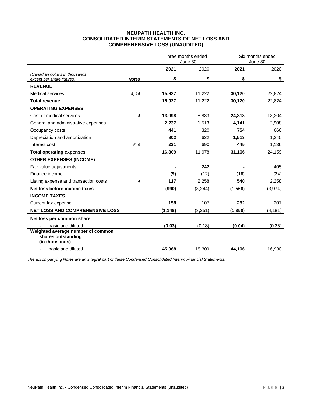## **NEUPATH HEALTH INC. CONSOLIDATED INTERIM STATEMENTS OF NET LOSS AND COMPREHENSIVE LOSS (UNAUDITED)**

|                                                              |              | Three months ended<br>June 30 |         |          | Six months ended<br>June 30 |
|--------------------------------------------------------------|--------------|-------------------------------|---------|----------|-----------------------------|
|                                                              |              | 2021                          | 2020    | 2021     | 2020                        |
| (Canadian dollars in thousands,<br>except per share figures) | <b>Notes</b> | \$                            | \$      | \$       | \$                          |
| <b>REVENUE</b>                                               |              |                               |         |          |                             |
| <b>Medical services</b>                                      | 4, 14        | 15,927                        | 11,222  | 30,120   | 22,824                      |
| <b>Total revenue</b>                                         |              | 15,927                        | 11,222  | 30,120   | 22,824                      |
| <b>OPERATING EXPENSES</b>                                    |              |                               |         |          |                             |
| Cost of medical services                                     | 4            | 13,098                        | 8,833   | 24,313   | 18,204                      |
| General and administrative expenses                          |              | 2,237                         | 1.513   | 4,141    | 2.908                       |
| Occupancy costs                                              |              | 441                           | 320     | 754      | 666                         |
| Depreciation and amortization                                |              | 802                           | 622     | 1,513    | 1,245                       |
| Interest cost                                                | 5, 6         | 231                           | 690     | 445      | 1,136                       |
| <b>Total operating expenses</b>                              |              | 16,809                        | 11,978  | 31,166   | 24,159                      |
| <b>OTHER EXPENSES (INCOME)</b>                               |              |                               |         |          |                             |
| Fair value adjustments                                       |              |                               | 242     |          | 405                         |
| Finance income                                               |              | (9)                           | (12)    | (18)     | (24)                        |
| Listing expense and transaction costs                        | 4            | 117                           | 2,258   | 540      | 2,258                       |
| Net loss before income taxes                                 |              | (990)                         | (3,244) | (1, 568) | (3,974)                     |
| <b>INCOME TAXES</b>                                          |              |                               |         |          |                             |
| Current tax expense                                          |              | 158                           | 107     | 282      | 207                         |
| NET LOSS AND COMPREHENSIVE LOSS                              |              | (1, 148)                      | (3,351) | (1,850)  | (4, 181)                    |
| Net loss per common share                                    |              |                               |         |          |                             |
| basic and diluted                                            |              | (0.03)                        | (0.18)  | (0.04)   | (0.25)                      |
| Weighted average number of common                            |              |                               |         |          |                             |
| shares outstanding<br>(in thousands)                         |              |                               |         |          |                             |
| basic and diluted<br>$\overline{\phantom{0}}$                |              | 45,068                        | 18,309  | 44,106   | 16,930                      |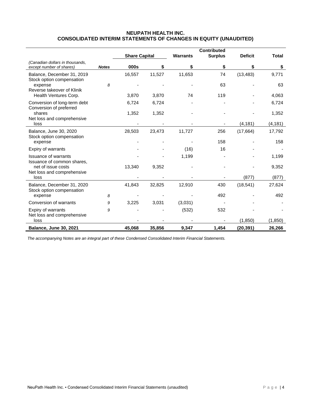## **NEUPATH HEALTH INC. CONSOLIDATED INTERIM STATEMENTS OF CHANGES IN EQUITY (UNAUDITED)**

|                                                             |              | <b>Share Capital</b> |        | <b>Warrants</b> | <b>Contributed</b><br><b>Surplus</b> | <b>Deficit</b> | <b>Total</b> |
|-------------------------------------------------------------|--------------|----------------------|--------|-----------------|--------------------------------------|----------------|--------------|
| (Canadian dollars in thousands,<br>except number of shares) | <b>Notes</b> | 000s                 | \$     | \$              | \$                                   | \$             | \$           |
| Balance, December 31, 2019<br>Stock option compensation     |              | 16,557               | 11,527 | 11,653          | 74                                   | (13, 483)      | 9,771        |
| expense<br>Reverse takeover of Klinik                       | 8            |                      |        |                 | 63                                   |                | 63           |
| Health Ventures Corp.                                       |              | 3,870                | 3,870  | 74              | 119                                  |                | 4,063        |
| Conversion of long-term debt<br>Conversion of preferred     |              | 6,724                | 6,724  |                 |                                      |                | 6,724        |
| shares<br>Net loss and comprehensive                        |              | 1,352                | 1,352  |                 |                                      |                | 1,352        |
| loss                                                        |              |                      |        |                 |                                      | (4, 181)       | (4, 181)     |
| Balance, June 30, 2020<br>Stock option compensation         |              | 28,503               | 23,473 | 11,727          | 256                                  | (17,664)       | 17,792       |
| expense                                                     |              |                      |        |                 | 158                                  |                | 158          |
| Expiry of warrants                                          |              |                      |        | (16)            | 16                                   |                |              |
| <b>Issuance of warrants</b><br>Issuance of common shares,   |              |                      |        | 1,199           |                                      |                | 1,199        |
| net of issue costs<br>Net loss and comprehensive            |              | 13,340               | 9,352  |                 |                                      |                | 9,352        |
| loss                                                        |              |                      |        |                 |                                      | (877)          | (877)        |
| Balance, December 31, 2020<br>Stock option compensation     |              | 41,843               | 32,825 | 12,910          | 430                                  | (18, 541)      | 27,624       |
| expense                                                     | 8            |                      |        |                 | 492                                  |                | 492          |
| Conversion of warrants                                      | 9            | 3,225                | 3,031  | (3,031)         |                                      |                |              |
| Expiry of warrants<br>Net loss and comprehensive            | 9            |                      |        | (532)           | 532                                  |                |              |
| loss                                                        |              |                      |        |                 |                                      | (1,850)        | (1, 850)     |
| <b>Balance, June 30, 2021</b>                               |              | 45,068               | 35,856 | 9,347           | 1,454                                | (20, 391)      | 26,266       |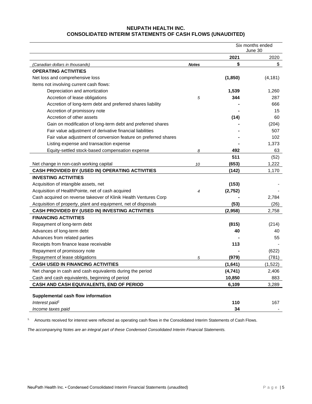# **NEUPATH HEALTH INC. CONSOLIDATED INTERIM STATEMENTS OF CASH FLOWS (UNAUDITED)**

|                                                                  |              | Six months ended<br>June 30 |          |
|------------------------------------------------------------------|--------------|-----------------------------|----------|
|                                                                  |              | 2021                        | 2020     |
| (Canadian dollars in thousands)                                  | <b>Notes</b> | \$                          | \$       |
| <b>OPERATING ACTIVITIES</b>                                      |              |                             |          |
| Net loss and comprehensive loss                                  |              | (1, 850)                    | (4, 181) |
| Items not involving current cash flows:                          |              |                             |          |
| Depreciation and amortization                                    |              | 1,539                       | 1,260    |
| Accretion of lease obligations                                   | 5            | 344                         | 287      |
| Accretion of long-term debt and preferred shares liability       |              |                             | 666      |
| Accretion of promissory note                                     |              |                             | 15       |
| Accretion of other assets                                        |              | (14)                        | 60       |
| Gain on modification of long-term debt and preferred shares      |              |                             | (204)    |
| Fair value adjustment of derivative financial liabilities        |              |                             | 507      |
| Fair value adjustment of conversion feature on preferred shares  |              |                             | 102      |
| Listing expense and transaction expense                          |              |                             | 1,373    |
| Equity-settled stock-based compensation expense                  | 8            | 492                         | 63       |
|                                                                  |              | 511                         | (52)     |
| Net change in non-cash working capital                           | 10           | (653)                       | 1,222    |
| CASH PROVIDED BY (USED IN) OPERATING ACTIVITIES                  |              | (142)                       | 1,170    |
| <b>INVESTING ACTIVITIES</b>                                      |              |                             |          |
| Acquisition of intangible assets, net                            |              | (153)                       |          |
| Acquisition of HealthPointe, net of cash acquired                | 4            | (2,752)                     |          |
| Cash acquired on reverse takeover of Klinik Health Ventures Corp |              |                             | 2,784    |
| Acquisition of property, plant and equipment, net of disposals   |              | (53)                        | (26)     |
| CASH PROVIDED BY (USED IN) INVESTING ACTIVITIES                  |              | (2,958)                     | 2,758    |
| <b>FINANCING ACTIVITIES</b>                                      |              |                             |          |
| Repayment of long-term debt                                      |              | (815)                       | (214)    |
| Advances of long-term debt                                       |              | 40                          | 40       |
| Advances from related parties                                    |              |                             | 55       |
| Receipts from finance lease receivable                           |              | 113                         |          |
| Repayment of promissory note                                     |              |                             | (622)    |
| Repayment of lease obligations                                   | 5            | (979)                       | (781)    |
| <b>CASH USED IN FINANCING ACTIVITIES</b>                         |              | (1,641)                     | (1,522)  |
| Net change in cash and cash equivalents during the period        |              | (4,741)                     | 2,406    |
| Cash and cash equivalents, beginning of period                   |              | 10,850                      | 883      |
| CASH AND CASH EQUIVALENTS, END OF PERIOD                         |              | 6,109                       | 3,289    |
|                                                                  |              |                             |          |
| Supplemental cash flow information                               |              |                             |          |
| Interest paid <sup>1</sup>                                       |              | 110                         | 167      |
| Income taxes paid                                                |              | 34                          |          |

<sup>1.</sup> Amounts received for interest were reflected as operating cash flows in the Consolidated Interim Statements of Cash Flows.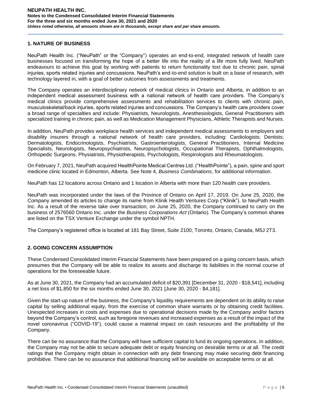## **1. NATURE OF BUSINESS**

NeuPath Health Inc. ("NeuPath" or the "Company") operates an end-to-end, integrated network of health care businesses focused on transforming the hope of a better life into the reality of a life more fully lived. NeuPath endeavours to achieve this goal by working with patients to return functionality lost due to chronic pain, spinal injuries, sports related injuries and concussions. NeuPath's end-to-end solution is built on a base of research, with technology layered in, with a goal of better outcomes from assessments and treatments.

The Company operates an interdisciplinary network of medical clinics in Ontario and Alberta, in addition to an independent medical assessment business with a national network of health care providers. The Company's medical clinics provide comprehensive assessments and rehabilitation services to clients with chronic pain, musculoskeletal/back injuries, sports related injuries and concussions. The Company's health care providers cover a broad range of specialties and include: Physiatrists, Neurologists, Anesthesiologists, General Practitioners with specialized training in chronic pain, as well as Medication Management Physicians, Athletic Therapists and Nurses.

In addition, NeuPath provides workplace health services and independent medical assessments to employers and disability insurers through a national network of health care providers, including: Cardiologists; Dentists; Dermatologists, Endocrinologists, Psychiatrists, Gastroenterologists, General Practitioners, Internal Medicine Specialists, Neurologists, Neuropsychiatrists, Neuropsychologists, Occupational Therapists, Ophthalmologists, Orthopedic Surgeons, Physiatrists, Physiotherapists, Psychologists, Respirologists and Rheumatologists.

On February 7, 2021, NeuPath acquired HealthPointe Medical Centres Ltd. ("HealthPointe"), a pain, spine and sport medicine clinic located in Edmonton, Alberta. See Note 4, *Business Combinations*, for additional information.

NeuPath has 12 locations across Ontario and 1 location in Alberta with more than 120 health care providers.

NeuPath was incorporated under the laws of the Province of Ontario on April 17, 2019. On June 25, 2020, the Company amended its articles to change its name from Klinik Health Ventures Corp ("Klinik"). to NeuPath Health Inc. As a result of the reverse take over transaction, on June 25, 2020, the Company continued to carry on the business of 2576560 Ontario Inc. under the *Business Corporations Act* (Ontario). The Company's common shares are listed on the TSX Venture Exchange under the symbol NPTH.

The Company's registered office is located at 181 Bay Street, Suite 2100, Toronto, Ontario, Canada, M5J 2T3.

## **2. GOING CONCERN ASSUMPTION**

These Condensed Consolidated Interim Financial Statements have been prepared on a going concern basis, which presumes that the Company will be able to realize its assets and discharge its liabilities in the normal course of operations for the foreseeable future.

As at June 30, 2021, the Company had an accumulated deficit of \$20,391 [December 31, 2020 - \$18,541], including a net loss of \$1,850 for the six months ended June 30, 2021 [June 30, 2020 - \$4,181].

Given the start-up nature of the business, the Company's liquidity requirements are dependent on its ability to raise capital by selling additional equity, from the exercise of common share warrants or by obtaining credit facilities. Unexpected increases in costs and expenses due to operational decisions made by the Company and/or factors beyond the Company's control, such as foregone revenues and increased expenses as a result of the impact of the novel coronavirus ("COVID-19"), could cause a material impact on cash resources and the profitability of the Company.

There can be no assurance that the Company will have sufficient capital to fund its ongoing operations. In addition, the Company may not be able to secure adequate debt or equity financing on desirable terms or at all. The credit ratings that the Company might obtain in connection with any debt financing may make securing debt financing prohibitive. There can be no assurance that additional financing will be available on acceptable terms or at all.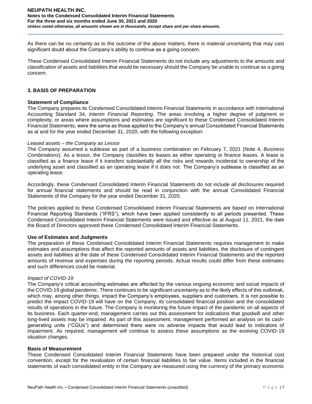As there can be no certainty as to the outcome of the above matters, there is material uncertainty that may cast significant doubt about the Company's ability to continue as a going concern.

These Condensed Consolidated Interim Financial Statements do not include any adjustments to the amounts and classification of assets and liabilities that would be necessary should the Company be unable to continue as a going concern.

## **3. BASIS OF PREPARATION**

## **Statement of Compliance**

The Company prepares its Condensed Consolidated Interim Financial Statements in accordance with International Accounting Standard 34, *Interim Financial Reporting*. The areas involving a higher degree of judgment or complexity, or areas where assumptions and estimates are significant to these Condensed Consolidated Interim Financial Statements, were the same as those applied to the Company's annual Consolidated Financial Statements as at and for the year ended December 31, 2020, with the following exception:

## *Leased assets – the Company as Lessor*

The Company assumed a sublease as part of a business combination on February 7, 2021 (Note 4, *Business Combinations*). As a lessor, the Company classifies its leases as either operating or finance leases. A lease is classified as a finance lease if it transfers substantially all the risks and rewards incidental to ownership of the underlying asset and classified as an operating lease if it does not. The Company's sublease is classified as an operating lease.

Accordingly, these Condensed Consolidated Interim Financial Statements do not include all disclosures required for annual financial statements and should be read in conjunction with the annual Consolidated Financial Statements of the Company for the year ended December 31, 2020.

The policies applied to these Condensed Consolidated Interim Financial Statements are based on International Financial Reporting Standards ("IFRS"), which have been applied consistently to all periods presented. These Condensed Consolidated Interim Financial Statements were issued and effective as at August 11, 2021, the date the Board of Directors approved these Condensed Consolidated Interim Financial Statements.

## **Use of Estimates and Judgments**

The preparation of these Condensed Consolidated Interim Financial Statements requires management to make estimates and assumptions that affect the reported amounts of assets and liabilities, the disclosure of contingent assets and liabilities at the date of these Condensed Consolidated Interim Financial Statements and the reported amounts of revenue and expenses during the reporting periods. Actual results could differ from these estimates and such differences could be material.

## *Impact of COVID-19*

The Company's critical accounting estimates are affected by the various ongoing economic and social impacts of the COVID-19 global pandemic. There continues to be significant uncertainty as to the likely effects of this outbreak, which may, among other things, impact the Company's employees, suppliers and customers. It is not possible to predict the impact COVID-19 will have on the Company, its consolidated financial position and the consolidated results of operations in the future. The Company is monitoring the future impact of the pandemic on all aspects of its business. Each quarter-end, management carries out this assessment for indications that goodwill and other long-lived assets may be impaired. As part of this assessment, management performed an analysis on its cashgenerating units ("CGUs") and determined there were no adverse impacts that would lead to indicators of impairment. As required, management will continue to assess these assumptions as the evolving COVID-19 situation changes.

## **Basis of Measurement**

These Condensed Consolidated Interim Financial Statements have been prepared under the historical cost convention, except for the revaluation of certain financial liabilities to fair value. Items included in the financial statements of each consolidated entity in the Company are measured using the currency of the primary economic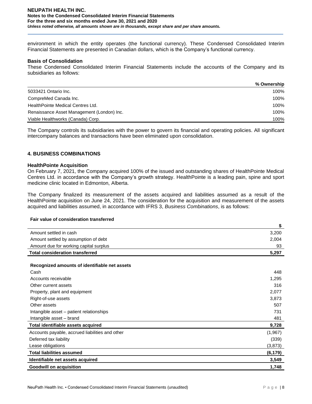environment in which the entity operates (the functional currency). These Condensed Consolidated Interim Financial Statements are presented in Canadian dollars, which is the Company's functional currency.

#### **Basis of Consolidation**

These Condensed Consolidated Interim Financial Statements include the accounts of the Company and its subsidiaries as follows:

|                                            | % Ownership |
|--------------------------------------------|-------------|
| 5033421 Ontario Inc.                       | 100%        |
| CompreMed Canada Inc.                      | 100%        |
| HealthPointe Medical Centres Ltd.          | 100%        |
| Renaissance Asset Management (London) Inc. | 100%        |
| Viable Healthworks (Canada) Corp.          | 100%        |

The Company controls its subsidiaries with the power to govern its financial and operating policies. All significant intercompany balances and transactions have been eliminated upon consolidation.

### **4. BUSINESS COMBINATIONS**

#### **HealthPointe Acquisition**

On February 7, 2021, the Company acquired 100% of the issued and outstanding shares of HealthPointe Medical Centres Ltd. in accordance with the Company's growth strategy. HealthPointe is a leading pain, spine and sport medicine clinic located in Edmonton, Alberta.

The Company finalized its measurement of the assets acquired and liabilities assumed as a result of the HealthPointe acquisition on June 24, 2021. The consideration for the acquisition and measurement of the assets acquired and liabilities assumed, in accordance with IFRS 3, *Business Combinations*, is as follows:

#### **Fair value of consideration transferred**

|                                                 | \$       |
|-------------------------------------------------|----------|
| Amount settled in cash                          | 3,200    |
| Amount settled by assumption of debt            | 2,004    |
| Amount due for working capital surplus          | 93       |
| <b>Total consideration transferred</b>          | 5,297    |
|                                                 |          |
| Recognized amounts of identifiable net assets   |          |
| Cash                                            | 448      |
| Accounts receivable                             | 1,295    |
| Other current assets                            | 316      |
| Property, plant and equipment                   | 2,077    |
| Right-of-use assets                             | 3,873    |
| Other assets                                    | 507      |
| Intangible asset – patient relationships        | 731      |
| Intangible asset - brand                        | 481      |
| Total identifiable assets acquired              | 9,728    |
| Accounts payable, accrued liabilities and other | (1,967)  |
| Deferred tax liability                          | (339)    |
| Lease obligations                               | (3, 873) |
| <b>Total liabilities assumed</b>                | (6,179)  |
| Identifiable net assets acquired                | 3,549    |
| <b>Goodwill on acquisition</b>                  | 1,748    |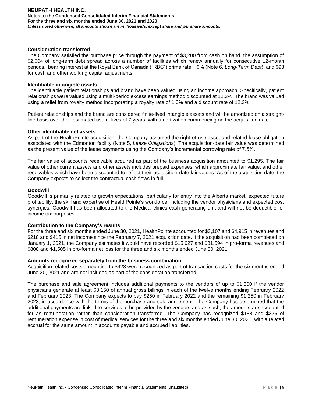### **Consideration transferred**

The Company satisfied the purchase price through the payment of \$3,200 from cash on hand, the assumption of \$2,004 of long-term debt spread across a number of facilities which renew annually for consecutive 12-month periods, bearing interest at the Royal Bank of Canada ("RBC") prime rate + 0% (Note 6, *Long-Term Debt*), and \$93 for cash and other working capital adjustments.

#### **Identifiable intangible assets**

The identifiable patient relationships and brand have been valued using an income approach. Specifically, patient relationships were valued using a multi-period excess earnings method discounted at 12.3%. The brand was valued using a relief from royalty method incorporating a royalty rate of 1.0% and a discount rate of 12.3%.

Patient relationships and the brand are considered finite-lived intangible assets and will be amortized on a straightline basis over their estimated useful lives of 7 years, with amortization commencing on the acquisition date.

### **Other identifiable net assets**

As part of the HealthPointe acquisition, the Company assumed the right-of-use asset and related lease obligation associated with the Edmonton facility (Note 5, *Lease Obligations*). The acquisition-date fair value was determined as the present value of the lease payments using the Company's incremental borrowing rate of 7.5%.

The fair value of accounts receivable acquired as part of the business acquisition amounted to \$1,295. The fair value of other current assets and other assets includes prepaid expenses, which approximate fair value, and other receivables which have been discounted to reflect their acquisition-date fair values. As of the acquisition date, the Company expects to collect the contractual cash flows in full.

### **Goodwill**

Goodwill is primarily related to growth expectations, particularly for entry into the Alberta market, expected future profitability, the skill and expertise of HealthPointe's workforce, including the vendor physicians and expected cost synergies. Goodwill has been allocated to the Medical clinics cash-generating unit and will not be deductible for income tax purposes.

## **Contribution to the Company's results**

For the three and six months ended June 30, 2021, HealthPointe accounted for \$3,107 and \$4,915 in revenues and \$218 and \$415 in net income since the February 7, 2021 acquisition date. If the acquisition had been completed on January 1, 2021, the Company estimates it would have recorded \$15,927 and \$31,594 in pro-forma revenues and \$808 and \$1,505 in pro-forma net loss for the three and six months ended June 30, 2021.

#### **Amounts recognized separately from the business combination**

Acquisition related costs amounting to \$423 were recognized as part of transaction costs for the six months ended June 30, 2021 and are not included as part of the consideration transferred.

The purchase and sale agreement includes additional payments to the vendors of up to \$1,500 if the vendor physicians generate at least \$3,150 of annual gross billings in each of the twelve months ending February 2022 and February 2023. The Company expects to pay \$250 in February 2022 and the remaining \$1,250 in February 2023, in accordance with the terms of the purchase and sale agreement. The Company has determined that the additional payments are linked to services to be provided by the vendors and as such, the amounts are accounted for as remuneration rather than consideration transferred. The Company has recognized \$188 and \$376 of remuneration expense in cost of medical services for the three and six months ended June 30, 2021, with a related accrual for the same amount in accounts payable and accrued liabilities.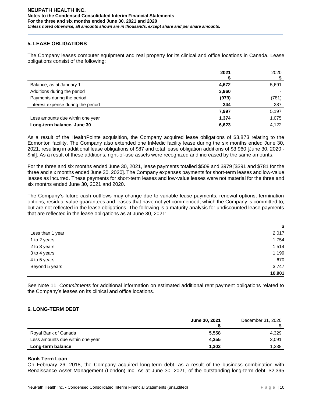# **5. LEASE OBLIGATIONS**

The Company leases computer equipment and real property for its clinical and office locations in Canada. Lease obligations consist of the following:

|                                    | 2021  | 2020  |
|------------------------------------|-------|-------|
|                                    |       |       |
| Balance, as at January 1           | 4,672 | 5,691 |
| Additions during the period        | 3,960 |       |
| Payments during the period         | (979) | (781) |
| Interest expense during the period | 344   | 287   |
|                                    | 7,997 | 5,197 |
| Less amounts due within one year   | 1,374 | 1,075 |
| Long-term balance, June 30         | 6,623 | 4,122 |

As a result of the HealthPointe acquisition, the Company acquired lease obligations of \$3,873 relating to the Edmonton facility. The Company also extended one InMedic facility lease during the six months ended June 30, 2021, resulting in additional lease obligations of \$87 and total lease obligation additions of \$3,960 [June 30, 2020 - \$nil]. As a result of these additions, right-of-use assets were recognized and increased by the same amounts.

For the three and six months ended June 30, 2021, lease payments totalled \$509 and \$979 [\$391 and \$781 for the three and six months ended June 30, 2020]. The Company expenses payments for short-term leases and low-value leases as incurred. These payments for short-term leases and low-value leases were not material for the three and six months ended June 30, 2021 and 2020.

The Company's future cash outflows may change due to variable lease payments, renewal options, termination options, residual value guarantees and leases that have not yet commenced, which the Company is committed to, but are not reflected in the lease obligations. The following is a maturity analysis for undiscounted lease payments that are reflected in the lease obligations as at June 30, 2021:

|                  | \$     |
|------------------|--------|
| Less than 1 year | 2,017  |
| 1 to 2 years     | 1,754  |
| 2 to 3 years     | 1,514  |
| 3 to 4 years     | 1,199  |
| 4 to 5 years     | 670    |
| Beyond 5 years   | 3,747  |
|                  | 10,901 |

See Note 11, *Commitments* for additional information on estimated additional rent payment obligations related to the Company's leases on its clinical and office locations.

# **6. LONG-TERM DEBT**

|                                  | June 30, 2021 | December 31, 2020 |
|----------------------------------|---------------|-------------------|
|                                  |               |                   |
| Royal Bank of Canada             | 5,558         | 4.329             |
| Less amounts due within one year | 4.255         | 3,091             |
| Long-term balance                | 1,303         | 1,238             |

## **Bank Term Loan**

On February 26, 2018, the Company acquired long-term debt, as a result of the business combination with Renaissance Asset Management (London) Inc. As at June 30, 2021, of the outstanding long-term debt, \$2,395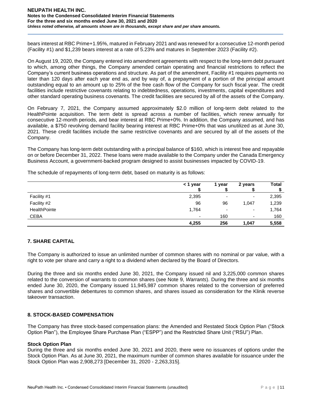bears interest at RBC Prime+1.95%, matured in February 2021 and was renewed for a consecutive 12-month period (Facility #1) and \$1,239 bears interest at a rate of 5.23% and matures in September 2023 (Facility #2).

On August 19, 2020, the Company entered into amendment agreements with respect to the long-term debt pursuant to which, among other things, the Company amended certain operating and financial restrictions to reflect the Company's current business operations and structure. As part of the amendment, Facility #1 requires payments no later than 120 days after each year end as, and by way of, a prepayment of a portion of the principal amount outstanding equal to an amount up to 25% of the free cash flow of the Company for such fiscal year. The credit facilities include restrictive covenants relating to indebtedness, operations, investments, capital expenditures and other standard operating business covenants. The credit facilities are secured by all of the assets of the Company.

On February 7, 2021, the Company assumed approximately \$2.0 million of long-term debt related to the HealthPointe acquisition. The term debt is spread across a number of facilities, which renew annually for consecutive 12-month periods, and bear interest at RBC Prime+0%. In addition, the Company assumed, and has available, a \$750 revolving demand facility bearing interest at RBC Prime+0% that was unutilized as at June 30, 2021. These credit facilities include the same restrictive covenants and are secured by all of the assets of the Company.

The Company has long-term debt outstanding with a principal balance of \$160, which is interest free and repayable on or before December 31, 2022. These loans were made available to the Company under the Canada Emergency Business Account, a government-backed program designed to assist businesses impacted by COVID-19.

The schedule of repayments of long-term debt, based on maturity is as follows:

|              | < 1 year                 | year | 2 years | <b>Total</b> |
|--------------|--------------------------|------|---------|--------------|
|              |                          |      |         |              |
| Facility #1  | 2,395                    | -    | ۰       | 2,395        |
| Facility #2  | 96                       | 96   | 1,047   | 1,239        |
| HealthPointe | 1,764                    | -    | ۰       | 1,764        |
| <b>CEBA</b>  | $\overline{\phantom{0}}$ | 160  | $\sim$  | 160          |
|              | 4,255                    | 256  | 1,047   | 5,558        |

# **7. SHARE CAPITAL**

The Company is authorized to issue an unlimited number of common shares with no nominal or par value, with a right to vote per share and carry a right to a dividend when declared by the Board of Directors.

During the three and six months ended June 30, 2021, the Company issued nil and 3,225,000 common shares related to the conversion of warrants to common shares (see Note 9, *Warrants*). During the three and six months ended June 30, 2020, the Company issued 11,945,987 common shares related to the conversion of preferred shares and convertible debentures to common shares, and shares issued as consideration for the Klinik reverse takeover transaction.

## **8. STOCK-BASED COMPENSATION**

The Company has three stock-based compensation plans: the Amended and Restated Stock Option Plan ("Stock Option Plan"), the Employee Share Purchase Plan ("ESPP") and the Restricted Share Unit ("RSU") Plan.

## **Stock Option Plan**

During the three and six months ended June 30, 2021 and 2020, there were no issuances of options under the Stock Option Plan. As at June 30, 2021, the maximum number of common shares available for issuance under the Stock Option Plan was 2,908,273 [December 31, 2020 - 2,263,315].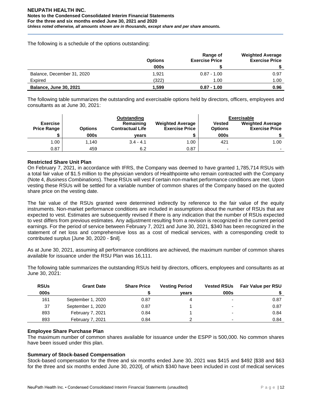The following is a schedule of the options outstanding:

|                               | <b>Options</b> | Range of<br><b>Exercise Price</b> | <b>Weighted Average</b><br><b>Exercise Price</b> |
|-------------------------------|----------------|-----------------------------------|--------------------------------------------------|
|                               | 000s           |                                   |                                                  |
| Balance, December 31, 2020    | 1.921          | $0.87 - 1.00$                     | 0.97                                             |
| Expired                       | (322)          | 1.00                              | 1.00                                             |
| <b>Balance, June 30, 2021</b> | 1.599          | $0.87 - 1.00$                     | 0.96                                             |

The following table summarizes the outstanding and exercisable options held by directors, officers, employees and consultants as at June 30, 2021:

|                                       |                | Outstanding                          |                                                  |                                 | Exercisable                                      |
|---------------------------------------|----------------|--------------------------------------|--------------------------------------------------|---------------------------------|--------------------------------------------------|
| <b>Exercise</b><br><b>Price Range</b> | <b>Options</b> | Remaining<br><b>Contractual Life</b> | <b>Weighted Average</b><br><b>Exercise Price</b> | <b>Vested</b><br><b>Options</b> | <b>Weighted Average</b><br><b>Exercise Price</b> |
|                                       | 000s           | vears                                |                                                  | 000s                            |                                                  |
| 1.00                                  | 1.140          | $3.4 - 4.1$                          | 1.00                                             | 421                             | 1.00                                             |
| 0.87                                  | 459            | 6.2                                  | 0.87                                             | $\overline{\phantom{0}}$        |                                                  |

# **Restricted Share Unit Plan**

On February 7, 2021, in accordance with IFRS, the Company was deemed to have granted 1,785,714 RSUs with a total fair value of \$1.5 million to the physician vendors of Healthpointe who remain contracted with the Company (Note 4, *Business Combinations*). These RSUs will vest if certain non-market performance conditions are met. Upon vesting these RSUs will be settled for a variable number of common shares of the Company based on the quoted share price on the vesting date.

The fair value of the RSUs granted were determined indirectly by reference to the fair value of the equity instruments. Non-market performance conditions are included in assumptions about the number of RSUs that are expected to vest. Estimates are subsequently revised if there is any indication that the number of RSUs expected to vest differs from previous estimates. Any adjustment resulting from a revision is recognized in the current period earnings. For the period of service between February 7, 2021 and June 30, 2021, \$340 has been recognized in the statement of net loss and comprehensive loss as a cost of medical services, with a corresponding credit to contributed surplus [June 30, 2020 - \$nil].

As at June 30, 2021, assuming all performance conditions are achieved, the maximum number of common shares available for issuance under the RSU Plan was 16,111.

The following table summarizes the outstanding RSUs held by directors, officers, employees and consultants as at June 30, 2021:

| <b>RSUs</b> | <b>Grant Date</b> | <b>Share Price</b> | <b>Vesting Period</b> | <b>Vested RSUs</b>       | Fair Value per RSU |
|-------------|-------------------|--------------------|-----------------------|--------------------------|--------------------|
| 000s        |                   |                    | vears                 | 000s                     |                    |
| 161         | September 1, 2020 | 0.87               |                       | $\overline{\phantom{0}}$ | 0.87               |
| 37          | September 1, 2020 | 0.87               |                       | $\overline{\phantom{0}}$ | 0.87               |
| 893         | February 7, 2021  | 0.84               |                       | $\overline{\phantom{0}}$ | 0.84               |
| 893         | February 7, 2021  | 0.84               |                       | $\overline{\phantom{0}}$ | 0.84               |

# **Employee Share Purchase Plan**

The maximum number of common shares available for issuance under the ESPP is 500,000. No common shares have been issued under this plan.

## **Summary of Stock-based Compensation**

Stock-based compensation for the three and six months ended June 30, 2021 was \$415 and \$492 [\$38 and \$63 for the three and six months ended June 30, 2020], of which \$340 have been included in cost of medical services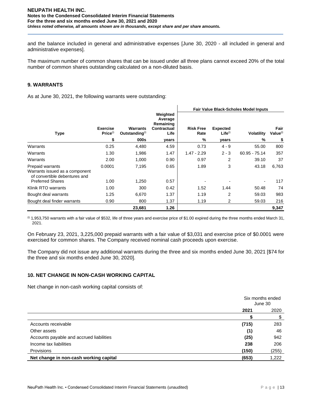and the balance included in general and administrative expenses [June 30, 2020 - all included in general and administrative expenses].

The maximum number of common shares that can be issued under all three plans cannot exceed 20% of the total number of common shares outstanding calculated on a non-diluted basis.

# **9. WARRANTS**

As at June 30, 2021, the following warrants were outstanding:

|                                                                                     |                                         |                                               |                                                         | <b>Fair Value Black-Scholes Model Inputs</b> |                                 |                 |                              |
|-------------------------------------------------------------------------------------|-----------------------------------------|-----------------------------------------------|---------------------------------------------------------|----------------------------------------------|---------------------------------|-----------------|------------------------------|
| <b>Type</b>                                                                         | <b>Exercise</b><br>Price <sup>(i)</sup> | <b>Warrants</b><br>Outstanding <sup>(i)</sup> | Weighted<br>Average<br>Remaining<br>Contractual<br>Life | <b>Risk Free</b><br>Rate                     | <b>Expected</b><br>$Life^{(i)}$ | Volatility      | Fair<br>Value <sup>(i)</sup> |
|                                                                                     | \$                                      | 000s                                          | years                                                   | %                                            | years                           | %               | \$                           |
| Warrants                                                                            | 0.25                                    | 4,480                                         | 4.59                                                    | 0.73                                         | $4 - 9$                         | 55.00           | 800                          |
| Warrants                                                                            | 1.30                                    | 1,986                                         | 1.47                                                    | $1.47 - 2.29$                                | $2 - 3$                         | $60.95 - 75.14$ | 357                          |
| Warrants                                                                            | 2.00                                    | 1,000                                         | 0.90                                                    | 0.97                                         | 2                               | 39.10           | 37                           |
| Prepaid warrants<br>Warrants issued as a component<br>of convertible debentures and | 0.0001                                  | 7,195                                         | 0.65                                                    | 1.89                                         | 3                               | 43.18           | 6,763                        |
| <b>Preferred Shares</b>                                                             | 1.00                                    | 1,250                                         | 0.57                                                    |                                              |                                 |                 | 117                          |
| Klinik RTO warrants                                                                 | 1.00                                    | 300                                           | 0.42                                                    | 1.52                                         | 1.44                            | 50.48           | 74                           |
| Bought deal warrants                                                                | 1.25                                    | 6,670                                         | 1.37                                                    | 1.19                                         | $\overline{2}$                  | 59.03           | 983                          |
| Bought deal finder warrants                                                         | 0.90                                    | 800                                           | 1.37                                                    | 1.19                                         | 2                               | 59.03           | 216                          |
|                                                                                     |                                         | 23,681                                        | 1.26                                                    |                                              |                                 |                 | 9,347                        |

 $^{(0)}$  1,953,750 warrants with a fair value of \$532, life of three years and exercise price of \$1.00 expired during the three months ended March 31, 2021.

On February 23, 2021, 3,225,000 prepaid warrants with a fair value of \$3,031 and exercise price of \$0.0001 were exercised for common shares. The Company received nominal cash proceeds upon exercise.

The Company did not issue any additional warrants during the three and six months ended June 30, 2021 [\$74 for the three and six months ended June 30, 2020].

# **10. NET CHANGE IN NON-CASH WORKING CAPITAL**

Net change in non-cash working capital consists of:

|                                          | Six months ended<br>June 30 |       |
|------------------------------------------|-----------------------------|-------|
|                                          | 2021<br>2020                |       |
|                                          |                             | \$    |
| Accounts receivable                      | (715)                       | 283   |
| Other assets                             | (1)                         | 46    |
| Accounts payable and accrued liabilities | (25)                        | 942   |
| Income tax liabilities                   | 238                         | 206   |
| Provisions                               | (150)                       | (255) |
| Net change in non-cash working capital   | (653)                       | 1,222 |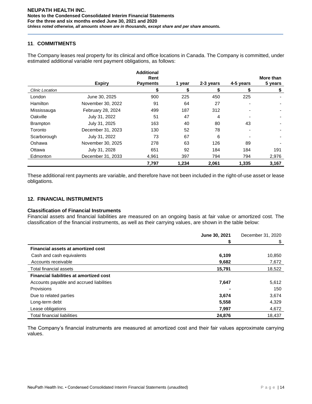## **11**. **COMMITMENTS**

The Company leases real property for its clinical and office locations in Canada. The Company is committed, under estimated additional variable rent payment obligations, as follows:

|                 |                   | <b>Additional</b>       |        |           |           |                      |
|-----------------|-------------------|-------------------------|--------|-----------|-----------|----------------------|
|                 | <b>Expiry</b>     | Rent<br><b>Payments</b> | 1 year | 2-3 years | 4-5 years | More than<br>5 years |
| Clinic Location |                   |                         | \$     | \$        | \$        | \$                   |
| London          | June 30, 2025     | 900                     | 225    | 450       | 225       |                      |
| <b>Hamilton</b> | November 30, 2022 | 91                      | 64     | 27        |           |                      |
| Mississauga     | February 28, 2024 | 499                     | 187    | 312       |           |                      |
| Oakville        | July 31, 2022     | 51                      | 47     | 4         |           |                      |
| <b>Brampton</b> | July 31, 2025     | 163                     | 40     | 80        | 43        |                      |
| Toronto         | December 31, 2023 | 130                     | 52     | 78        |           |                      |
| Scarborough     | July 31, 2022     | 73                      | 67     | 6         |           |                      |
| Oshawa          | November 30, 2025 | 278                     | 63     | 126       | 89        |                      |
| Ottawa          | July 31, 2028     | 651                     | 92     | 184       | 184       | 191                  |
| Edmonton        | December 31, 2033 | 4.961                   | 397    | 794       | 794       | 2,976                |
|                 |                   | 7,797                   | 1,234  | 2,061     | 1,335     | 3,167                |

These additional rent payments are variable, and therefore have not been included in the right-of-use asset or lease obligations.

# **12. FINANCIAL INSTRUMENTS**

# **Classification of Financial Instruments**

Financial assets and financial liabilities are measured on an ongoing basis at fair value or amortized cost. The classification of the financial instruments, as well as their carrying values, are shown in the table below:

|                                                | June 30, 2021 | December 31, 2020 |
|------------------------------------------------|---------------|-------------------|
|                                                | S             | \$                |
| <b>Financial assets at amortized cost</b>      |               |                   |
| Cash and cash equivalents                      | 6,109         | 10,850            |
| Accounts receivable                            | 9,682         | 7,672             |
| Total financial assets                         | 15,791        | 18,522            |
| <b>Financial liabilities at amortized cost</b> |               |                   |
| Accounts payable and accrued liabilities       | 7,647         | 5,612             |
| <b>Provisions</b>                              |               | 150               |
| Due to related parties                         | 3,674         | 3,674             |
| Long-term debt                                 | 5,558         | 4,329             |
| Lease obligations                              | 7,997         | 4,672             |
| <b>Total financial liabilities</b>             | 24,876        | 18.437            |

The Company's financial instruments are measured at amortized cost and their fair values approximate carrying values.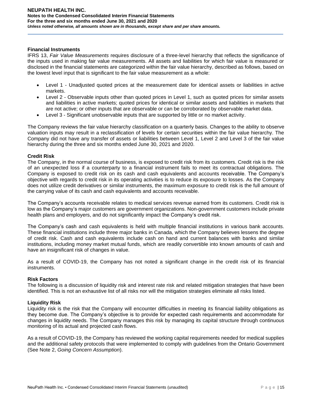#### **Financial Instruments**

IFRS 13, *Fair Value Measurements* requires disclosure of a three-level hierarchy that reflects the significance of the inputs used in making fair value measurements. All assets and liabilities for which fair value is measured or disclosed in the financial statements are categorized within the fair value hierarchy, described as follows, based on the lowest level input that is significant to the fair value measurement as a whole:

- Level 1 Unadjusted quoted prices at the measurement date for identical assets or liabilities in active markets.
- Level 2 Observable inputs other than quoted prices in Level 1, such as quoted prices for similar assets and liabilities in active markets; quoted prices for identical or similar assets and liabilities in markets that are not active; or other inputs that are observable or can be corroborated by observable market data.
- Level 3 Significant unobservable inputs that are supported by little or no market activity.

The Company reviews the fair value hierarchy classification on a quarterly basis. Changes to the ability to observe valuation inputs may result in a reclassification of levels for certain securities within the fair value hierarchy. The Company did not have any transfer of assets or liabilities between Level 1, Level 2 and Level 3 of the fair value hierarchy during the three and six months ended June 30, 2021 and 2020.

### **Credit Risk**

The Company, in the normal course of business, is exposed to credit risk from its customers. Credit risk is the risk of an unexpected loss if a counterparty to a financial instrument fails to meet its contractual obligations. The Company is exposed to credit risk on its cash and cash equivalents and accounts receivable. The Company's objective with regards to credit risk in its operating activities is to reduce its exposure to losses. As the Company does not utilize credit derivatives or similar instruments, the maximum exposure to credit risk is the full amount of the carrying value of its cash and cash equivalents and accounts receivable.

The Company's accounts receivable relates to medical services revenue earned from its customers. Credit risk is low as the Company's major customers are government organizations. Non-government customers include private health plans and employers, and do not significantly impact the Company's credit risk.

The Company's cash and cash equivalents is held with multiple financial institutions in various bank accounts. These financial institutions include three major banks in Canada, which the Company believes lessens the degree of credit risk. Cash and cash equivalents include cash on hand and current balances with banks and similar institutions, including money market mutual funds, which are readily convertible into known amounts of cash and have an insignificant risk of changes in value.

As a result of COVID-19, the Company has not noted a significant change in the credit risk of its financial instruments.

## **Risk Factors**

The following is a discussion of liquidity risk and interest rate risk and related mitigation strategies that have been identified. This is not an exhaustive list of all risks nor will the mitigation strategies eliminate all risks listed.

## **Liquidity Risk**

Liquidity risk is the risk that the Company will encounter difficulties in meeting its financial liability obligations as they become due. The Company's objective is to provide for expected cash requirements and accommodate for changes in liquidity needs. The Company manages this risk by managing its capital structure through continuous monitoring of its actual and projected cash flows.

As a result of COVID-19, the Company has reviewed the working capital requirements needed for medical supplies and the additional safety protocols that were implemented to comply with guidelines from the Ontario Government (See Note 2, *Going Concern Assumption*).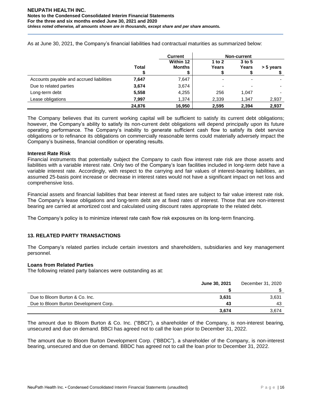|                                          |              | <b>Current</b>             |                 | <b>Non-current</b>  |           |
|------------------------------------------|--------------|----------------------------|-----------------|---------------------|-----------|
|                                          | <b>Total</b> | Within 12<br><b>Months</b> | 1 to 2<br>Years | $3$ to $5$<br>Years | > 5 years |
| Accounts payable and accrued liabilities | 7,647        | 7,647                      |                 |                     |           |
| Due to related parties                   | 3,674        | 3,674                      |                 | -                   |           |
| Long-term debt                           | 5,558        | 4,255                      | 256             | 1,047               |           |
| Lease obligations                        | 7,997        | 1,374                      | 2,339           | 1,347               | 2,937     |
|                                          | 24,876       | 16,950                     | 2,595           | 2,394               | 2,937     |

As at June 30, 2021, the Company's financial liabilities had contractual maturities as summarized below:

The Company believes that its current working capital will be sufficient to satisfy its current debt obligations; however, the Company's ability to satisfy its non-current debt obligations will depend principally upon its future operating performance. The Company's inability to generate sufficient cash flow to satisfy its debt service obligations or to refinance its obligations on commercially reasonable terms could materially adversely impact the Company's business, financial condition or operating results.

### **Interest Rate Risk**

Financial instruments that potentially subject the Company to cash flow interest rate risk are those assets and liabilities with a variable interest rate. Only two of the Company's loan facilities included in long-term debt have a variable interest rate. Accordingly, with respect to the carrying and fair values of interest-bearing liabilities, an assumed 25-basis point increase or decrease in interest rates would not have a significant impact on net loss and comprehensive loss.

Financial assets and financial liabilities that bear interest at fixed rates are subject to fair value interest rate risk. The Company's lease obligations and long-term debt are at fixed rates of interest. Those that are non-interest bearing are carried at amortized cost and calculated using discount rates appropriate to the related debt.

The Company's policy is to minimize interest rate cash flow risk exposures on its long-term financing.

# **13. RELATED PARTY TRANSACTIONS**

The Company's related parties include certain investors and shareholders, subsidiaries and key management personnel.

## **Loans from Related Parties**

The following related party balances were outstanding as at:

|                                       | June 30, 2021 | December 31, 2020 |
|---------------------------------------|---------------|-------------------|
|                                       |               |                   |
| Due to Bloom Burton & Co. Inc.        | 3,631         | 3,631             |
| Due to Bloom Burton Development Corp. | 43            | 43                |
|                                       | 3,674         | 3.674             |

The amount due to Bloom Burton & Co. Inc. ("BBCI"), a shareholder of the Company, is non-interest bearing, unsecured and due on demand. BBCI has agreed not to call the loan prior to December 31, 2022.

The amount due to Bloom Burton Development Corp. ("BBDC"), a shareholder of the Company, is non-interest bearing, unsecured and due on demand. BBDC has agreed not to call the loan prior to December 31, 2022.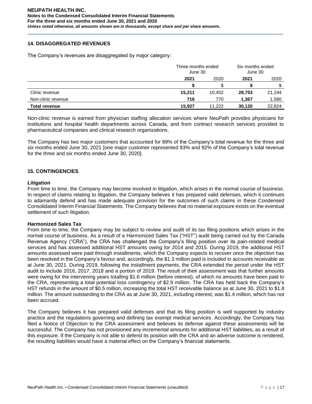## **14. DISAGGREGATED REVENUES**

The Company's revenues are disaggregated by major category:

|                      |        | Three months ended<br>June 30 |        | Six months ended<br>June 30 |  |
|----------------------|--------|-------------------------------|--------|-----------------------------|--|
|                      | 2021   | 2020                          | 2021   | 2020                        |  |
|                      |        |                               |        |                             |  |
| Clinic revenue       | 15,211 | 10.452                        | 28,753 | 21,244                      |  |
| Non-clinic revenue   | 716    | 770                           | 1,367  | 1,580                       |  |
| <b>Total revenue</b> | 15,927 | 11.222                        | 30.120 | 22.824                      |  |

Non-clinic revenue is earned from physician staffing allocation services where NeuPath provides physicians for institutions and hospital health departments across Canada, and from contract research services provided to pharmaceutical companies and clinical research organizations.

The Company has two major customers that accounted for 89% of the Company's total revenue for the three and six months ended June 30, 2021 [one major customer represented 93% and 92% of the Company's total revenue for the three and six months ended June 30, 2020].

## **15. CONTINGENCIES**

### **Litigation**

From time to time, the Company may become involved in litigation, which arises in the normal course of business. In respect of claims relating to litigation, the Company believes it has prepared valid defenses, which it continues to adamantly defend and has made adequate provision for the outcomes of such claims in these Condensed Consolidated Interim Financial Statements. The Company believes that no material exposure exists on the eventual settlement of such litigation.

## **Harmonized Sales Tax**

From time to time, the Company may be subject to review and audit of its tax filing positions which arises in the normal course of business. As a result of a Harmonized Sales Tax ("HST") audit being carried out by the Canada Revenue Agency ("CRA"), the CRA has challenged the Company's filing position over its pain-related medical services and has assessed additional HST amounts owing for 2014 and 2015. During 2019, the additional HST amounts assessed were paid through installments, which the Company expects to recover once the objection has been resolved in the Company's favour and, accordingly, the \$1.3 million paid is included in accounts receivable as at June 30, 2021. During 2019, following the installment payments, the CRA extended the period under the HST audit to include 2016, 2017, 2018 and a portion of 2019. The result of their assessment was that further amounts were owing for the intervening years totalling \$1.6 million (before interest), of which no amounts have been paid to the CRA, representing a total potential loss contingency of \$2.9 million. The CRA has held back the Company's HST refunds in the amount of \$0.5 million, increasing the total HST receivable balance as at June 30, 2021 to \$1.8 million. The amount outstanding to the CRA as at June 30, 2021, including interest, was \$1.4 million, which has not been accrued.

The Company believes it has prepared valid defenses and that its filing position is well supported by industry practice and the regulations governing and defining tax exempt medical services. Accordingly, the Company has filed a Notice of Objection to the CRA assessment and believes its defense against these assessments will be successful. The Company has not provisioned any incremental amounts for additional HST liabilities, as a result of this exposure. If the Company is not able to defend its position with the CRA and an adverse outcome is rendered, the resulting liabilities would have a material effect on the Company's financial statements.